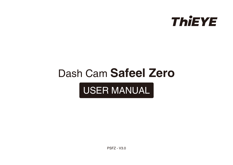

# Dash Cam **Safeel Zero**

# USER MANUAL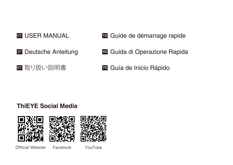# **OL** USER MANUAL

- **31** Deutsche Anleitung
- <sup>61</sup> 取り扱い説明書
- 01 USER MANUAL **16** Guide de démarrage rapide
	- <sup>46</sup> Guida di Operazione Rapida
	- <sup>76</sup> Guía de Inicio Rápido

#### **ThiEYE Social Media**







Official Website Facebook YouTube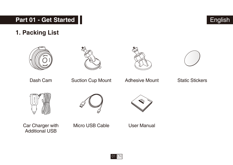# **Part 01 - Get Started**







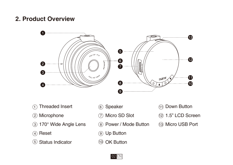## **2. Product Overview**



- Threaded Insert  $\bigcap$
- Microphone
- 170° Wide Angle Lens
- 4) Reset
- 5) Status Indicator (10
- 6) Speaker
- Micro SD Slot
- Power / Mode Button
- Up Button
- OK Button
- Down Button
- 1.5" LCD Screen
- Micro USB Port

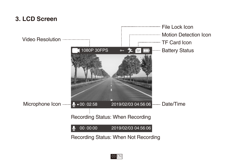# **3. LCD Screen**



03 EN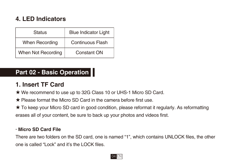# **4. LED Indicators**

| <b>Status</b>      | <b>Blue Indicator Light</b> |
|--------------------|-----------------------------|
| When Recording     | <b>Continuous Flash</b>     |
| When Not Recording | Constant ON                 |

# **Part 02 - Basic Operation**

# **1. Insert TF Card**

- ★ We recommend to use up to 32G Class 10 or UHS-1 Micro SD Card.
- ★ Please format the Micro SD Card in the camera before first use.
- ★ To keep your Micro SD card in good condition, please reformat it regularly. As reformatting erases all of your content, be sure to back up your photos and videos first.

#### **· Micro SD Card File**

There are two folders on the SD card, one is named "1", which contains UNLOCK files, the other one is called "Lock" and it's the LOCK files.

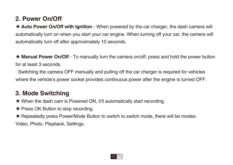# **2. Power On/Off**

★ **Auto Power On/Off with Ignition** - When powered by the car charger, the dash camera will automatically turn on when you start your car engine. When turning off your car, the camera will automatically turn off after approximately 10 seconds.

**★ Manual Power On/Off** - To manually turn the camera on/off, press and hold the power button for at least 3 seconds.

· Switching the camera OFF manually and pulling off the car charger is required for vehicles where the vehicle's power socket provides continuous power after the engine is turned OFF.

# **3. Mode Switching**

★ When the dash cam is Powered ON, it'll automatically start recording.

★ Press OK Button to stop recording.

★ Repeatedly press Power/Mode Button to switch to switch mode, there will be modes:

Video, Photo, Playback, Settings.

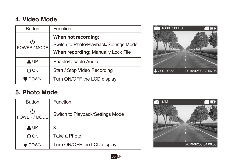## **4. Video Mode**

| <b>Button</b>               | Function                                                      |
|-----------------------------|---------------------------------------------------------------|
| $^{\prime}$<br>POWER / MODE | When not recording:<br>Switch to Photo/Playback/Settings Mode |
|                             | When recording: Manually Lock File                            |
| A UP                        | Enable/Disable Audio                                          |
| 0 ок                        | Start / Stop Video Recording                                  |
| ₹ DOWN                      | Turn ON/OFF the LCD display                                   |



## **5. Photo Mode**

| <b>Button</b>               | Function                         |
|-----------------------------|----------------------------------|
| $^{\prime}$<br>POWER / MODE | Switch to Playback/Settings Mode |
| $\triangle$ UP              | ×                                |
| ООК                         | Take a Photo                     |
| U DOWN                      | Turn ON/OFF the LCD display      |



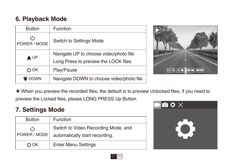# **6. Playback Mode**

| <b>Button</b>               | Function                                 |
|-----------------------------|------------------------------------------|
| $^{\prime}$<br>POWER / MODE | Switch to Settings Mode                  |
| AUP                         | Navigate UP to choose video/photo file   |
|                             | Long Press to preview the LOCK files     |
| ООК                         | Play/Pause                               |
| DOWN                        | Navigate DOWN to choose video/photo file |



★ When you preview the recorded files, the default is to preview Unlocked files, if you need to preview the Locked files, please LONG PRESS Up Button.

## **7. Settings Mode**

| <b>Button</b>               | Function                                                              |
|-----------------------------|-----------------------------------------------------------------------|
| $^{\prime}$<br>POWER / MODE | Switch to Video Recording Mode, and<br>automatically start recording. |
| 0 ок                        | <b>Enter Menu Settings</b>                                            |



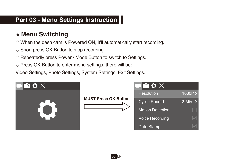# **Part 03 - Menu Settings Instruction**

# ★ **Menu Switching**

- $\Diamond$  When the dash cam is Powered ON, it'll automatically start recording.
- ◇ Short press OK Button to stop recording.
- ◇ Repeatedly press Power / Mode Button to switch to Settings.
- $\Diamond$  Press OK Button to enter menu settings, there will be:

Video Settings, Photo Settings, System Settings, Exit Settings.

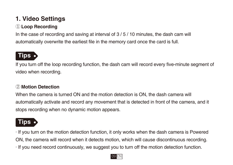# **1. Video Settings**

### ① **Loop Recording**

In the case of recording and saving at interval of 3 / 5 / 10 minutes, the dash cam will automatically overwrite the earliest file in the memory card once the card is full.

# **Tips**

If you turn off the loop recording function, the dash cam will record every five-minute segment of video when recording.

#### ② **Motion Detection**

When the camera is turned ON and the motion detection is ON, the dash camera will automatically activate and record any movement that is detected in front of the camera, and it stops recording when no dynamic motion appears.

# **Tips**

· If you turn on the motion detection function, it only works when the dash camera is Powered ON, the camera will record when it detects motion, which will cause discontinuous recording. · If you need record continuously, we suggest you to turn off the motion detection function.

#### 09 EN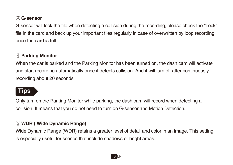#### ③ **G-sensor**

G-sensor will lock the file when detecting a collision during the recording, please check the "Lock" file in the card and back up your important files regularly in case of overwritten by loop recording once the card is full.

#### ④ **Parking Monitor**

When the car is parked and the Parking Monitor has been turned on, the dash cam will activate and start recording automatically once it detects collision. And it will turn off after continuously recording about 20 seconds.

# **Tips**

Only turn on the Parking Monitor while parking, the dash cam will record when detecting a collision. It means that you do not need to turn on G-sensor and Motion Detection.

#### ⑤ **WDR ( Wide Dynamic Range)**

Wide Dynamic Range (WDR) retains a greater level of detail and color in an image. This setting is especially useful for scenes that include shadows or bright areas.

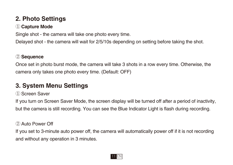# **2. Photo Settings**

#### ① **Capture Mode**

Single shot - the camera will take one photo every time.

Delayed shot - the camera will wait for 2/5/10s depending on setting before taking the shot.

#### ② **Sequence**

Once set in photo burst mode, the camera will take 3 shots in a row every time. Otherwise, the camera only takes one photo every time. (Default: OFF)

# **3. System Menu Settings**

#### ① Screen Saver

If you turn on Screen Saver Mode, the screen display will be turned off after a period of inactivity, but the camera is still recording. You can see the Blue Indicator Light is flash during recording.

#### ② Auto Power Off

If you set to 3-minute auto power off, the camera will automatically power off if it is not recording and without any operation in 3 minutes.

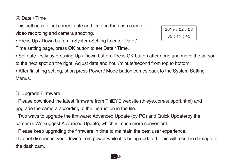#### ③ Date / Time

This setting is to set correct date and time on the dash cam for video recording and camera shooting.

• Press Up / Down button in System Setting to enter Date /

Time setting page, press OK button to set Date / Time.



• Set date firstly by pressing Up / Down button. Press OK button after done and move the cursor to the next spot on the right. Adjust date and hour/minute/second from top to bottom.

• After finishing setting, short press Power / Mode button comes back to the System Setting Menus.

④ Upgrade Firmware

· Please download the latest firmware from ThiEYE website (thieye.com/support.html) and upgrade the camera according to the instruction in the file.

· Two ways to upgrade the firmware: Advanced Update (by PC) and Quick Update(by the camera). We suggest Advanced Update, which is much more convenient.

· Please keep upgrading the firmware in time to maintain the best user experience.

· Do not disconnect your device from power while it is being updated. This will result in damage to the dash cam.

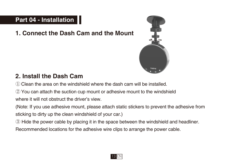# **Part 04 - Installation**

**1. Connect the Dash Cam and the Mount**



# **2. Install the Dash Cam**

① Clean the area on the windshield where the dash cam will be installed.

② You can attach the suction cup mount or adhesive mount to the windshield

where it will not obstruct the driver's view.

(Note: If you use adhesive mount, please attach static stickers to prevent the adhesive from sticking to dirty up the clean windshield of your car.)

③ Hide the power cable by placing it in the space between the windshield and headliner.

Recommended locations for the adhesive wire clips to arrange the power cable.

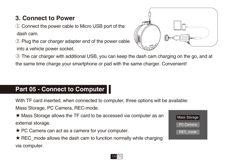# **3. Connect to Power**

① Connect the power cable to Micro USB port of the dash cam.

② Plug the car charger adapter end of the power cable into a vehicle power socket.



③ The car charger with additional USB, you can keep the dash cam charging on the go, and at the same time charge your smartphone or pad with the same charger. Convenient!

# **Part 05 - Connect to Computer**

With TF card inserted, when connected to computer, three options will be available:

Mass Storage, PC Camera, REC-mode.

★ Mass Storage allows the TF card to be accessed via computer as an external storage.

★ PC Camera can act as a camera for your computer.

 $\star$  REC mode allows the dash cam to function normally while charging via computer.